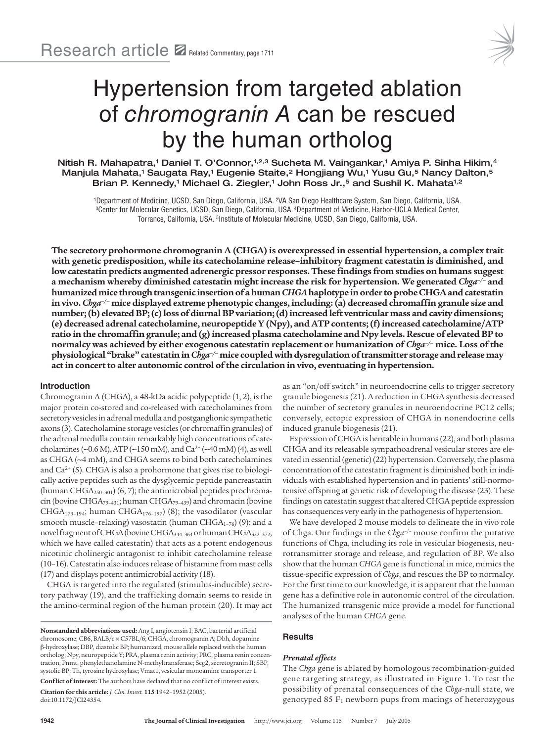

# Hypertension from targeted ablation of chromogranin A can be rescued by the human ortholog

Nitish R. Mahapatra,1 Daniel T. O'Connor,1,2,3 Sucheta M. Vaingankar,1 Amiya P. Sinha Hikim,4 Manjula Mahata,1 Saugata Ray,1 Eugenie Staite,<sup>2</sup> Hongjiang Wu,1 Yusu Gu,<sup>5</sup> Nancy Dalton,<sup>5</sup> Brian P. Kennedy, $^1$  Michael G. Ziegler, $^1$  John Ross Jr., $^5$  and Sushil K. Mahata $^{1,2}$ 

<sup>1</sup>Department of Medicine, UCSD, San Diego, California, USA. <sup>2</sup>VA San Diego Healthcare System, San Diego, California, USA. <sup>3</sup>Center for Molecular Genetics, UCSD, San Diego, California, USA.<sup>4</sup>Department of Medicine, Harbor-UCLA Medical Center, Torrance, California, USA. <sup>5</sup>Institute of Molecular Medicine, UCSD, San Diego, California, USA.

**The secretory prohormone chromogranin A (CHGA) is overexpressed in essential hypertension, a complex trait with genetic predisposition, while its catecholamine release–inhibitory fragment catestatin is diminished, and low catestatin predicts augmented adrenergic pressor responses. These findings from studies on humans suggest a mechanism whereby diminished catestatin might increase the risk for hypertension. We generated** *Chga–/–* **and humanized mice through transgenic insertion of a human** *CHGA* **haplotype in order to probe CHGA and catestatin in vivo.** *Chga–/–* **mice displayed extreme phenotypic changes, including: (a) decreased chromaffin granule size and number; (b) elevated BP; (c) loss of diurnal BP variation; (d) increased left ventricular mass and cavity dimensions; (e) decreased adrenal catecholamine, neuropeptide Y (Npy), and ATP contents; (f) increased catecholamine/ATP ratio in the chromaffin granule; and (g) increased plasma catecholamine and Npy levels. Rescue of elevated BP to normalcy was achieved by either exogenous catestatin replacement or humanization of** *Chga–/–* **mice. Loss of the physiological "brake" catestatin in** *Chga–/–* **mice coupled with dysregulation of transmitter storage and release may act in concert to alter autonomic control of the circulation in vivo, eventuating in hypertension.**

# **Introduction**

Chromogranin A (CHGA), a 48-kDa acidic polypeptide (1, 2), is the major protein co-stored and co-released with catecholamines from secretory vesicles in adrenal medulla and postganglionic sympathetic axons (3). Catecholamine storage vesicles (or chromaffin granules) of the adrenal medulla contain remarkably high concentrations of catecholamines (∼0.6 M), ATP (∼150 mM), and Ca2+ (∼40 mM) (4), as well as CHGA (∼4 mM), and CHGA seems to bind both catecholamines and  $Ca<sup>2+</sup>$  (5). CHGA is also a prohormone that gives rise to biologically active peptides such as the dysglycemic peptide pancreastatin (human CHGA<sub>250-301</sub>) (6, 7); the antimicrobial peptides prochromacin (bovine CHGA79–431; human CHGA79–439) and chromacin (bovine CHGA173–194; human CHGA176–197) (8); the vasodilator (vascular smooth muscle-relaxing) vasostatin (human CHGA<sub>1-76</sub>) (9); and a novel fragment of CHGA (bovine CHGA344–364 or human CHGA352–372, which we have called catestatin) that acts as a potent endogenous nicotinic cholinergic antagonist to inhibit catecholamine release (10–16). Catestatin also induces release of histamine from mast cells (17) and displays potent antimicrobial activity (18).

CHGA is targeted into the regulated (stimulus-inducible) secretory pathway (19), and the trafficking domain seems to reside in the amino-terminal region of the human protein (20). It may act

**Conflict of interest:** The authors have declared that no conflict of interest exists. **Citation for this article:** *J. Clin. Invest.* **115**:1942–1952 (2005). doi:10.1172/JCI24354.

as an "on/off switch" in neuroendocrine cells to trigger secretory granule biogenesis (21). A reduction in CHGA synthesis decreased the number of secretory granules in neuroendocrine PC12 cells; conversely, ectopic expression of CHGA in nonendocrine cells induced granule biogenesis (21).

Expression of CHGA is heritable in humans (22), and both plasma CHGA and its releasable sympathoadrenal vesicular stores are elevated in essential (genetic) (22) hypertension. Conversely, the plasma concentration of the catestatin fragment is diminished both in individuals with established hypertension and in patients' still-normotensive offspring at genetic risk of developing the disease (23). These findings on catestatin suggest that altered CHGA peptide expression has consequences very early in the pathogenesis of hypertension.

We have developed 2 mouse models to delineate the in vivo role of Chga. Our findings in the *Chga*–/– mouse confirm the putative functions of Chga, including its role in vesicular biogenesis, neurotransmitter storage and release, and regulation of BP. We also show that the human *CHGA* gene is functional in mice, mimics the tissue-specific expression of *Chga*, and rescues the BP to normalcy. For the first time to our knowledge, it is apparent that the human gene has a definitive role in autonomic control of the circulation. The humanized transgenic mice provide a model for functional analyses of the human *CHGA* gene.

# **Results**

## *Prenatal effects*

The *Chga* gene is ablated by homologous recombination-guided gene targeting strategy, as illustrated in Figure 1. To test the possibility of prenatal consequences of the *Chga*-null state, we genotyped 85  $F_1$  newborn pups from matings of heterozygous

**Nonstandard abbreviations used:** Ang I, angiotensin I; BAC, bacterial artificial chromosome; CB6, BALB/c × C57BL/6; CHGA, chromogranin A; Dbh, dopamine β-hydroxylase; DBP, diastolic BP; humanized, mouse allele replaced with the human ortholog; Npy, neuropeptide Y; PRA, plasma renin activity; PRC, plasma renin concentration; Pnmt, phenylethanolamine N-methyltransferase; Scg2, secretogranin II; SBP, systolic BP; Th, tyrosine hydroxylase; Vmat1, vesicular monoamine transporter 1.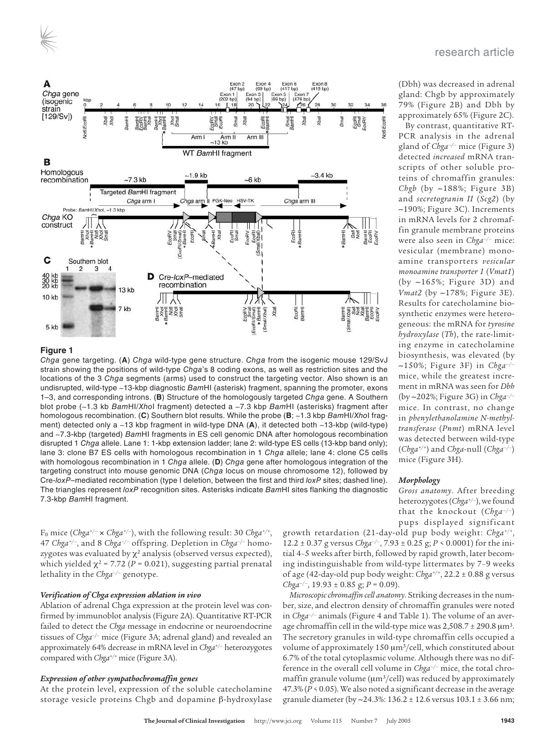



Chga gene targeting. (**A**) Chga wild-type gene structure. Chga from the isogenic mouse 129/SvJ strain showing the positions of wild-type Chga's 8 coding exons, as well as restriction sites and the locations of the 3 Chga segments (arms) used to construct the targeting vector. Also shown is an undisrupted, wild-type ∼13-kbp diagnostic BamHI (asterisk) fragment, spanning the promoter, exons 1–3, and corresponding introns. (**B**) Structure of the homologously targeted Chga gene. A Southern blot probe (∼1.3 kb BamHI/XhoI fragment) detected a ∼7.3 kbp BamHI (asterisks) fragment after homologous recombination. (**C**) Southern blot results. While the probe (**B**; ∼1.3 kbp BamHI/XhoI fragment) detected only a ∼13 kbp fragment in wild-type DNA (**A**), it detected both ∼13-kbp (wild-type) and ∼7.3-kbp (targeted) BamHI fragments in ES cell genomic DNA after homologous recombination disrupted 1 Chga allele. Lane 1: 1-kbp extension ladder; lane 2: wild-type ES cells (13-kbp band only); lane 3: clone B7 ES cells with homologous recombination in 1 Chga allele; lane 4: clone C5 cells with homologous recombination in 1 Chga allele. (**D**) Chga gene after homologous integration of the targeting construct into mouse genomic DNA (Chga locus on mouse chromosome 12), followed by Cre-loxP-mediated recombination (type I deletion, between the first and third loxP sites; dashed line). The triangles represent loxP recognition sites. Asterisks indicate BamHI sites flanking the diagnostic 7.3-kbp BamHI fragment.

F0 mice (*Chga+/–* × *Chga+/–*), with the following result: 30 *Chga+/+* , 47 *Chga+/–*, and 8 *Chga–/–* offspring. Depletion in *Chga*–/– homozygotes was evaluated by  $\chi^2$  analysis (observed versus expected), which yielded  $\chi^2$  = 7.72 (*P* = 0.021), suggesting partial prenatal lethality in the *Chga–/–* genotype.

## *Verification of Chga expression ablation in vivo*

Ablation of adrenal Chga expression at the protein level was confirmed by immunoblot analysis (Figure 2A). Quantitative RT-PCR failed to detect the *Chga* message in endocrine or neuroendocrine tissues of *Chga*–/– mice (Figure 3A; adrenal gland) and revealed an approximately 64% decrease in mRNA level in *Chga+/–* heterozygotes compared with *Chga+/+* mice (Figure 3A).

# *Expression of other sympathochromaffin genes*

At the protein level, expression of the soluble catecholamine storage vesicle proteins Chgb and dopamine β-hydroxylase (Dbh) was decreased in adrenal gland: Chgb by approximately 79% (Figure 2B) and Dbh by approximately 65% (Figure 2C).

By contrast, quantitative RT-PCR analysis in the adrenal gland of *Chga–/–* mice (Figure 3) detected *increased* mRNA transcripts of other soluble proteins of chromaffin granules: *Chgb* (by ∼188%; Figure 3B) and *secretogranin II* (*Scg2*) (by ∼190%; Figure 3C). Increments in mRNA levels for 2 chromaffin granule membrane proteins were also seen in *Chga–/–* mice: vesicular (membrane) monoamine transporters *vesicular monoamine transporter 1* (*Vmat1*) (by ∼165%; Figure 3D) and *Vmat2* (by ∼178%; Figure 3E). Results for catecholamine biosynthetic enzymes were heterogeneous: the mRNA for *tyrosine hydroxylase* (*Th*), the rate-limiting enzyme in catecholamine biosynthesis, was elevated (by ∼150%; Figure 3F) in *Chga–/–* mice, while the greatest increment in mRNA was seen for *Dbh* (by ∼202%; Figure 3G) in *Chga–/–* mice. In contrast, no change in *phenylethanolamine N-methyltransferase* (*Pnmt*) mRNA level was detected between wild-type (*Chga+/+*) and *Chga*-null (*Chga–/–*) mice (Figure 3H).

## *Morphology*

*Gross anatomy*. After breeding heterozygotes (*Chga+/–*), we found that the knockout (*Chga–/–*) pups displayed significant

growth retardation (21-day-old pup body weight: *Chga+/+* , 12.2 ± 0.37 g versus *Chga–/–*, 7.93 ± 0.25 g; *P* < 0.0001) for the initial 4–5 weeks after birth, followed by rapid growth, later becoming indistinguishable from wild-type littermates by 7–9 weeks of age (42-day-old pup body weight: *Chga+/+*, 22.2 ± 0.88 g versus *Chga–/–*, 19.93 ± 0.85 g; *P* = 0.09).

*Microscopic chromaffin cell anatomy*. Striking decreases in the number, size, and electron density of chromaffin granules were noted in *Chga–/–* animals (Figure 4 and Table 1). The volume of an average chromaffin cell in the wild-type mice was  $2,508.7 \pm 290.8 \,\text{\textmu m}^3$ . The secretory granules in wild-type chromaffin cells occupied a volume of approximately  $150 \mu m^3/c$ ell, which constituted about 6.7% of the total cytoplasmic volume. Although there was no difference in the overall cell volume in *Chga–/–* mice, the total chromaffin granule volume ( $\mu$ m<sup>3</sup>/cell) was reduced by approximately 47.3% (*P* < 0.05). We also noted a significant decrease in the average granule diameter (by ∼24.3%: 136.2 ± 12.6 versus 103.1 ± 3.66 nm;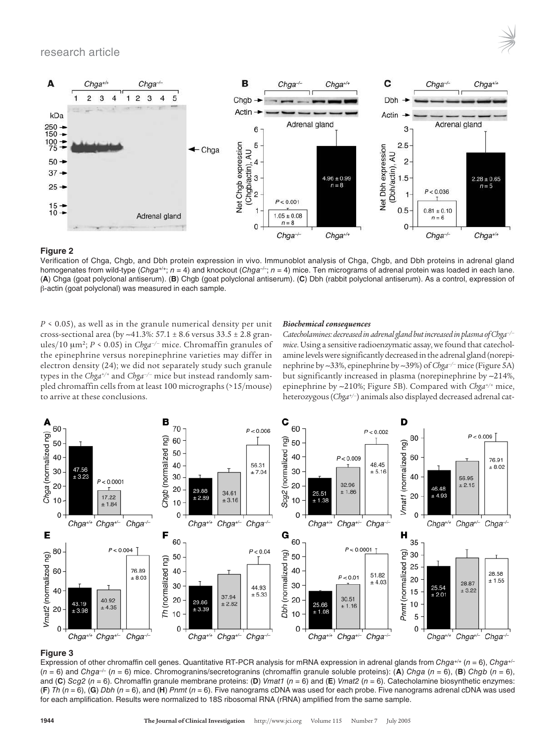# research article



# **Figure 2**

Verification of Chga, Chgb, and Dbh protein expression in vivo. Immunoblot analysis of Chga, Chgb, and Dbh proteins in adrenal gland homogenates from wild-type (Chga+/+; n = 4) and knockout (Chga-/-; n = 4) mice. Ten micrograms of adrenal protein was loaded in each lane. (**A**) Chga (goat polyclonal antiserum). (**B**) Chgb (goat polyclonal antiserum). (**C**) Dbh (rabbit polyclonal antiserum). As a control, expression of β-actin (goat polyclonal) was measured in each sample.

*P* < 0.05), as well as in the granule numerical density per unit cross-sectional area (by ∼41.3%: 57.1 ± 8.6 versus 33.5 ± 2.8 granules/10 µm<sup>2</sup> ; *P* < 0.05) in *Chga–/–* mice. Chromaffin granules of the epinephrine versus norepinephrine varieties may differ in electron density (24); we did not separately study such granule types in the *Chga+/+* and *Chga–/–* mice but instead randomly sampled chromaffin cells from at least 100 micrographs (>15/mouse) to arrive at these conclusions.

#### *Biochemical consequences*

*Catecholamines: decreased in adrenal gland but increased in plasma of Chga–/– mice*. Using a sensitive radioenzymatic assay, we found that catecholamine levels were significantly decreased in the adrenal gland (norepinephrine by ∼33%, epinephrine by ∼39%) of *Chga–/–* mice (Figure 5A) but significantly increased in plasma (norepinephrine by ∼214%, epinephrine by ∼210%; Figure 5B). Compared with *Chga+/+* mice, heterozygous (*Chga+/–*) animals also displayed decreased adrenal cat-



## **Figure 3**

Expression of other chromaffin cell genes. Quantitative RT-PCR analysis for mRNA expression in adrenal glands from Chga+/+ (n = 6), Chga+/- $(n = 6)$  and Chga<sup>-/-</sup> (n = 6) mice. Chromogranins/secretogranins (chromaffin granule soluble proteins): (A) Chga (n = 6), (B) Chgb (n = 6), and (C) Scg2 (n = 6). Chromaffin granule membrane proteins: (D) Vmat1 (n = 6) and (E) Vmat2 (n = 6). Catecholamine biosynthetic enzymes: (**F**) Th (n = 6), (**G**) Dbh (n = 6), and (**H**) Pnmt (n = 6). Five nanograms cDNA was used for each probe. Five nanograms adrenal cDNA was used for each amplification. Results were normalized to 18S ribosomal RNA (rRNA) amplified from the same sample.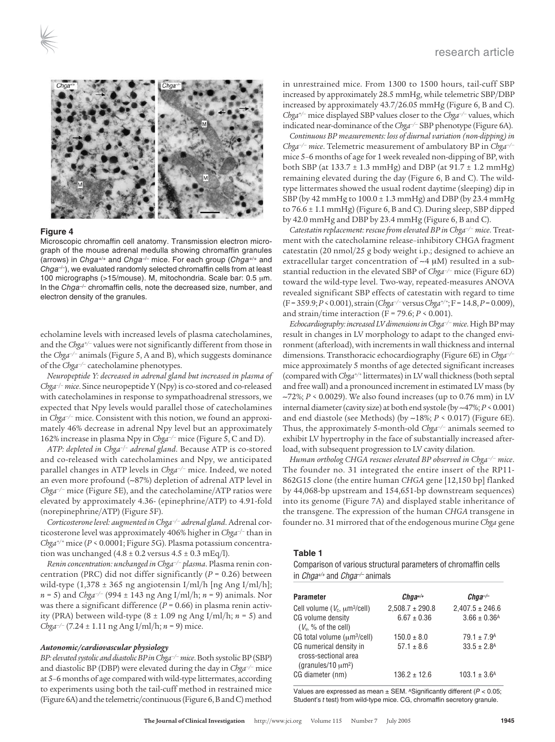

Microscopic chromaffin cell anatomy. Transmission electron micrograph of the mouse adrenal medulla showing chromaffin granules (arrows) in Chga<sup>+/+</sup> and Chga<sup>-/-</sup> mice. For each group (Chga<sup>+/+</sup> and  $Chga^{-/-}$ ), we evaluated randomly selected chromaffin cells from at least 100 micrographs (>15/mouse). M, mitochondria. Scale bar: 0.5 µm. In the  $Chga^{-/-}$  chromaffin cells, note the decreased size, number, and electron density of the granules.

echolamine levels with increased levels of plasma catecholamines, and the *Chga+/–* values were not significantly different from those in the *Chga–/–* animals (Figure 5, A and B), which suggests dominance of the *Chga–/–* catecholamine phenotypes.

*Neuropeptide Y: decreased in adrenal gland but increased in plasma of Chga*–/– *mice*. Since neuropeptide Y (Npy) is co-stored and co-released with catecholamines in response to sympathoadrenal stressors, we expected that Npy levels would parallel those of catecholamines in *Chga–/–* mice. Consistent with this notion, we found an approximately 46% decrease in adrenal Npy level but an approximately 162% increase in plasma Npy in *Chga–/–* mice (Figure 5, C and D).

*ATP: depleted in Chga*–/– *adrenal gland*. Because ATP is co-stored and co-released with catecholamines and Npy, we anticipated parallel changes in ATP levels in *Chga–/–* mice. Indeed, we noted an even more profound (∼87%) depletion of adrenal ATP level in *Chga–/–* mice (Figure 5E), and the catecholamine/ATP ratios were elevated by approximately 4.36- (epinephrine/ATP) to 4.91-fold (norepinephrine/ATP) (Figure 5F).

*Corticosterone level: augmented in Chga–/– adrenal gland*. Adrenal corticosterone level was approximately 406% higher in *Chga*–/– than in *Chga+/+* mice (*P* < 0.0001; Figure 5G). Plasma potassium concentration was unchanged  $(4.8 \pm 0.2 \text{ versus } 4.5 \pm 0.3 \text{ mEq/l}).$ 

*Renin concentration: unchanged in Chga–/– plasma*. Plasma renin concentration (PRC) did not differ significantly (*P* = 0.26) between wild-type  $(1,378 \pm 365 \text{ ng angiotensin I/ml/h}$  [ng Ang I/ml/h]; *n* = 5) and *Chga–/–* (994 ± 143 ng Ang I/ml/h; *n* = 9) animals. Nor was there a significant difference  $(P = 0.66)$  in plasma renin activity (PRA) between wild-type (8 ± 1.09 ng Ang I/ml/h; *n* = 5) and *Chga–/–* (7.24 ± 1.11 ng Ang I/ml/h; *n* = 9) mice.

## *Autonomic/cardiovascular physiology*

*BP: elevated systolic and diastolic BP in Chga–/– mice*. Both systolic BP (SBP) and diastolic BP (DBP) were elevated during the day in *Chga–/–* mice at 5–6 months of age compared with wild-type littermates, according to experiments using both the tail-cuff method in restrained mice (Figure 6A) and the telemetric/continuous (Figure 6, B and C) method

in unrestrained mice. From 1300 to 1500 hours, tail-cuff SBP increased by approximately 28.5 mmHg, while telemetric SBP/DBP increased by approximately 43.7/26.05 mmHg (Figure 6, B and C). *Chga+/–* mice displayed SBP values closer to the *Chga–/–* values, which indicated near-dominance of the *Chga–/–* SBP phenotype (Figure 6A).

*Continuous BP measurements: loss of diurnal variation (non-dipping) in Chga–/– mice*. Telemetric measurement of ambulatory BP in *Chga–/–* mice 5–6 months of age for 1 week revealed non-dipping of BP, with both SBP (at  $133.7 \pm 1.3$  mmHg) and DBP (at  $91.7 \pm 1.2$  mmHg) remaining elevated during the day (Figure 6, B and C). The wildtype littermates showed the usual rodent daytime (sleeping) dip in SBP (by 42 mmHg to 100.0 ± 1.3 mmHg) and DBP (by 23.4 mmHg to 76.6 ± 1.1 mmHg) (Figure 6, B and C). During sleep, SBP dipped by 42.0 mmHg and DBP by 23.4 mmHg (Figure 6, B and C).

*Catestatin replacement: rescue from elevated BP in Chga–/– mice*. Treatment with the catecholamine release–inhibitory CHGA fragment catestatin (20 nmol/25 g body weight i.p.; designed to achieve an extracellular target concentration of ∼4 µM) resulted in a substantial reduction in the elevated SBP of *Chga–/–* mice (Figure 6D) toward the wild-type level. Two-way, repeated-measures ANOVA revealed significant SBP effects of catestatin with regard to time (F = 359.9; *P* < 0.001), strain (*Chga–/–* versus *Chga+/+*; F = 14.8, *P* = 0.009), and strain/time interaction ( $F = 79.6$ ;  $P \le 0.001$ ).

*Echocardiography: increased LV dimensions in Chga–/– mice*. High BP may result in changes in LV morphology to adapt to the changed environment (afterload), with increments in wall thickness and internal dimensions. Transthoracic echocardiography (Figure 6E) in *Chga–/–* mice approximately 5 months of age detected significant increases (compared with *Chga+/+* littermates) in LV wall thickness (both septal and free wall) and a pronounced increment in estimated LV mass (by ∼72%; *P* < 0.0029). We also found increases (up to 0.76 mm) in LV internal diameter (cavity size) at both end systole (by ∼47%; *P* < 0.001) and end diastole (see Methods) (by ∼18%; *P* < 0.017) (Figure 6E). Thus, the approximately 5-month-old *Chga–/–* animals seemed to exhibit LV hypertrophy in the face of substantially increased afterload, with subsequent progression to LV cavity dilation.

*Human ortholog CHGA rescues elevated BP observed in Chga–/– mice*. The founder no. 31 integrated the entire insert of the RP11- 862G15 clone (the entire human *CHGA* gene [12,150 bp] flanked by 44,068-bp upstream and 154,651-bp downstream sequences) into its genome (Figure 7A) and displayed stable inheritance of the transgene. The expression of the human *CHGA* transgene in founder no. 31 mirrored that of the endogenous murine *Chga* gene

# **Table 1**

Comparison of various structural parameters of chromaffin cells in Chga<sup>+/+</sup> and Chga<sup>-/-</sup> animals

| <b>Parameter</b>                                                                           | $Chqa^{+/+}$                           | $Chq\bar{a}^{-/-}$                                         |
|--------------------------------------------------------------------------------------------|----------------------------------------|------------------------------------------------------------|
| Cell volume $(V_c, \mu m^3/cell)$<br>CG volume density<br>$(V_v, %$ of the cell)           | $2,508.7 \pm 290.8$<br>$6.67 \pm 0.36$ | $2,407.5 \pm 246.6$<br>$3.66 \pm 0.36$ <sup>A</sup>        |
| CG total volume (um <sup>3</sup> /cell)<br>CG numerical density in<br>cross-sectional area | $150.0 \pm 8.0$<br>$57.1 \pm 8.6$      | $79.1 \pm 7.9$ <sup>A</sup><br>$33.5 \pm 2.8$ <sup>A</sup> |
| (granules/10 $\mu$ m <sup>2</sup> )<br>CG diameter (nm)                                    | $136.2 \pm 12.6$                       | $103.1 \pm 3.6^{\text{A}}$                                 |

Values are expressed as mean  $\pm$  SEM. A Significantly different ( $P < 0.05$ ; Student's t test) from wild-type mice. CG, chromaffin secretory granule.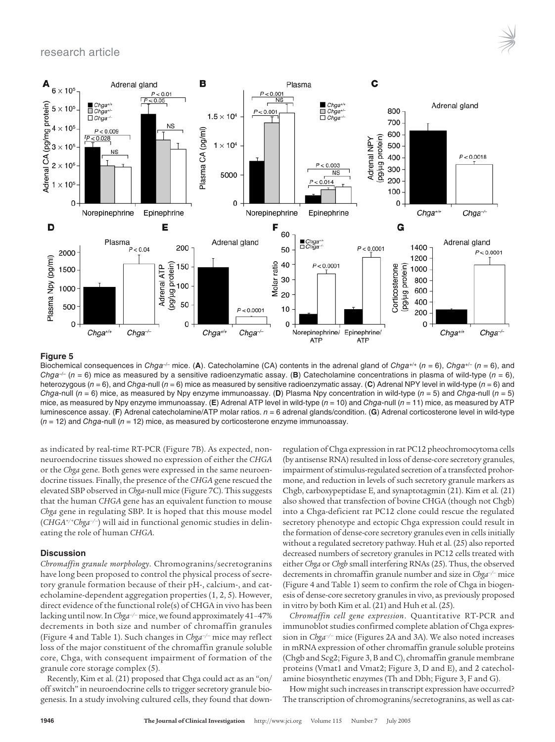# research article



## **Figure 5**

Biochemical consequences in Chga<sup>-/-</sup> mice. (A). Catecholamine (CA) contents in the adrenal gland of Chga<sup>+/+</sup> (n = 6), Chga<sup>+/-</sup> (n = 6), and Chga<sup>-/-</sup> (n = 6) mice as measured by a sensitive radioenzymatic assay. (B) Catecholamine concentrations in plasma of wild-type (n = 6), heterozygous ( $n = 6$ ), and Chga-null ( $n = 6$ ) mice as measured by sensitive radioenzymatic assay. (C) Adrenal NPY level in wild-type ( $n = 6$ ) and Chga-null  $(n = 6)$  mice, as measured by Npy enzyme immunoassay. (D) Plasma Npy concentration in wild-type  $(n = 5)$  and Chga-null  $(n = 5)$ mice, as measured by Npy enzyme immunoassay. (E) Adrenal ATP level in wild-type (n = 10) and Chga-null (n = 11) mice, as measured by ATP luminescence assay. (F) Adrenal catecholamine/ATP molar ratios.  $n = 6$  adrenal glands/condition. (G) Adrenal corticosterone level in wild-type  $(n = 12)$  and Chga-null  $(n = 12)$  mice, as measured by corticosterone enzyme immunoassay.

as indicated by real-time RT-PCR (Figure 7B). As expected, nonneuroendocrine tissues showed no expression of either the *CHGA* or the *Chga* gene. Both genes were expressed in the same neuroendocrine tissues. Finally, the presence of the *CHGA* gene rescued the elevated SBP observed in *Chga*-null mice (Figure 7C). This suggests that the human *CHGA* gene has an equivalent function to mouse *Chga* gene in regulating SBP. It is hoped that this mouse model (*CHGA+/+Chga–/–*) will aid in functional genomic studies in delineating the role of human *CHGA*.

## **Discussion**

*Chromaffin granule morphology*. Chromogranins/secretogranins have long been proposed to control the physical process of secretory granule formation because of their pH-, calcium-, and catecholamine-dependent aggregation properties (1, 2, 5). However, direct evidence of the functional role(s) of CHGA in vivo has been lacking until now. In *Chga–/–* mice, we found approximately 41–47% decrements in both size and number of chromaffin granules (Figure 4 and Table 1). Such changes in *Chga–/–* mice may reflect loss of the major constituent of the chromaffin granule soluble core, Chga, with consequent impairment of formation of the granule core storage complex (5).

Recently, Kim et al. (21) proposed that Chga could act as an "on/ off switch" in neuroendocrine cells to trigger secretory granule biogenesis. In a study involving cultured cells, they found that down-

regulation of Chga expression in rat PC12 pheochromocytoma cells (by antisense RNA) resulted in loss of dense-core secretory granules, impairment of stimulus-regulated secretion of a transfected prohormone, and reduction in levels of such secretory granule markers as Chgb, carboxypeptidase E, and synaptotagmin (21). Kim et al. (21) also showed that transfection of bovine CHGA (though not Chgb) into a Chga-deficient rat PC12 clone could rescue the regulated secretory phenotype and ectopic Chga expression could result in the formation of dense-core secretory granules even in cells initially without a regulated secretory pathway. Huh et al. (25) also reported decreased numbers of secretory granules in PC12 cells treated with either *Chga* or *Chgb* small interfering RNAs (25). Thus, the observed decrements in chromaffin granule number and size in *Chga–/–* mice (Figure 4 and Table 1) seem to confirm the role of Chga in biogenesis of dense-core secretory granules in vivo, as previously proposed in vitro by both Kim et al. (21) and Huh et al. (25).

*Chromaffin cell gene expression*. Quantitative RT-PCR and immunoblot studies confirmed complete ablation of Chga expression in *Chga–/–* mice (Figures 2A and 3A). We also noted increases in mRNA expression of other chromaffin granule soluble proteins (Chgb and Scg2; Figure 3, B and C), chromaffin granule membrane proteins (Vmat1 and Vmat2; Figure 3, D and E), and 2 catecholamine biosynthetic enzymes (Th and Dbh; Figure 3, F and G).

How might such increases in transcript expression have occurred? The transcription of chromogranins/secretogranins, as well as cat-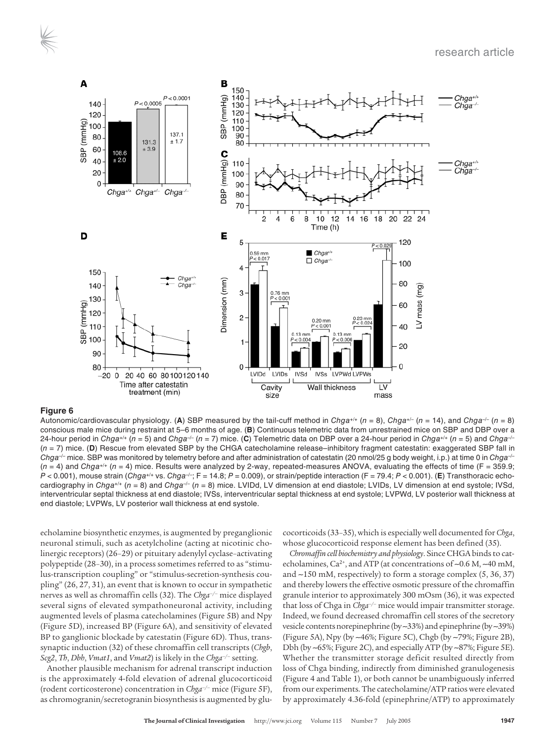

Autonomic/cardiovascular physiology. (A) SBP measured by the tail-cuff method in Chga+/+ (n = 8), Chga+/- (n = 14), and Chga<sup>-/-</sup> (n = 8) conscious male mice during restraint at 5–6 months of age. (**B**) Continuous telemetric data from unrestrained mice on SBP and DBP over a 24-hour period in Chga<sup>+/+</sup> ( $n = 5$ ) and Chga<sup>-/-</sup> ( $n = 7$ ) mice. (C) Telemetric data on DBP over a 24-hour period in Chga<sup>+/+</sup> ( $n = 5$ ) and Chga<sup>-/-</sup> (n = 7) mice. (**D**) Rescue from elevated SBP by the CHGA catecholamine release–inhibitory fragment catestatin: exaggerated SBP fall in Chga<sup>-/-</sup> mice. SBP was monitored by telemetry before and after administration of catestatin (20 nmol/25 g body weight, i.p.) at time 0 in Chga<sup>-/-</sup>  $(n = 4)$  and Chga<sup>+/+</sup>  $(n = 4)$  mice. Results were analyzed by 2-way, repeated-measures ANOVA, evaluating the effects of time (F = 359.9;  $P < 0.001$ ), mouse strain (Chga<sup>+/+</sup> vs. Chga<sup>-/-</sup>; F = 14.8; P = 0.009), or strain/peptide interaction (F = 79.4; P < 0.001). (E) Transthoracic echocardiography in Chga+/+ (n = 8) and Chga-/- (n = 8) mice. LVIDd, LV dimension at end diastole; LVIDs, LV dimension at end systole; IVSd, interventricular septal thickness at end diastole; IVSs, interventricular septal thickness at end systole; LVPWd, LV posterior wall thickness at end diastole; LVPWs, LV posterior wall thickness at end systole.

echolamine biosynthetic enzymes, is augmented by preganglionic neuronal stimuli, such as acetylcholine (acting at nicotinic cholinergic receptors) (26–29) or pituitary adenylyl cyclase–activating polypeptide (28–30), in a process sometimes referred to as "stimulus-transcription coupling" or "stimulus-secretion-synthesis coupling" (26, 27, 31), an event that is known to occur in sympathetic nerves as well as chromaffin cells (32). The *Chga–/–* mice displayed several signs of elevated sympathoneuronal activity, including augmented levels of plasma catecholamines (Figure 5B) and Npy (Figure 5D), increased BP (Figure 6A), and sensitivity of elevated BP to ganglionic blockade by catestatin (Figure 6D). Thus, transsynaptic induction (32) of these chromaffin cell transcripts (*Chgb*, *Scg2*, *Th*, *Dbh*, *Vmat1*, and *Vmat2*) is likely in the *Chga–/–* setting.

Another plausible mechanism for adrenal transcript induction is the approximately 4-fold elevation of adrenal glucocorticoid (rodent corticosterone) concentration in *Chga–/–* mice (Figure 5F), as chromogranin/secretogranin biosynthesis is augmented by glu-

cocorticoids (33–35), which is especially well documented for *Chga*, whose glucocorticoid response element has been defined (35).

*Chromaffin cell biochemistry and physiology*. Since CHGA binds to catecholamines, Ca<sup>2+</sup>, and ATP (at concentrations of ~0.6 M, ~40 mM, and ∼150 mM, respectively) to form a storage complex (5, 36, 37) and thereby lowers the effective osmotic pressure of the chromaffin granule interior to approximately 300 mOsm (36), it was expected that loss of Chga in *Chga–/–* mice would impair transmitter storage. Indeed, we found decreased chromaffin cell stores of the secretory vesicle contents norepinephrine (by ∼33%) and epinephrine (by ∼39%) (Figure 5A), Npy (by ∼46%; Figure 5C), Chgb (by ∼79%; Figure 2B), Dbh (by ∼65%; Figure 2C), and especially ATP (by ∼87%; Figure 5E). Whether the transmitter storage deficit resulted directly from loss of Chga binding, indirectly from diminished granulogenesis (Figure 4 and Table 1), or both cannot be unambiguously inferred from our experiments. The catecholamine/ATP ratios were elevated by approximately 4.36-fold (epinephrine/ATP) to approximately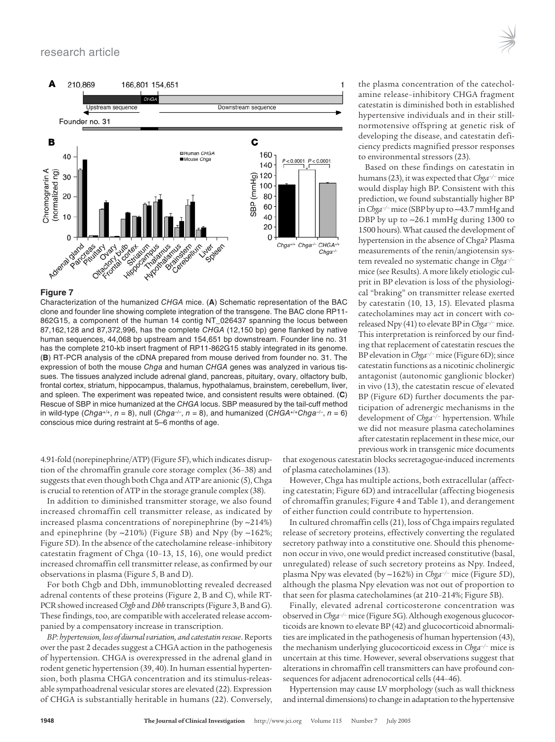

Characterization of the humanized CHGA mice. (**A**) Schematic representation of the BAC clone and founder line showing complete integration of the transgene. The BAC clone RP11- 862G15, a component of the human 14 contig NT\_026437 spanning the locus between 87,162,128 and 87,372,996, has the complete CHGA (12,150 bp) gene flanked by native human sequences, 44,068 bp upstream and 154,651 bp downstream. Founder line no. 31 has the complete 210-kb insert fragment of RP11-862G15 stably integrated in its genome. (**B**) RT-PCR analysis of the cDNA prepared from mouse derived from founder no. 31. The expression of both the mouse Chga and human CHGA genes was analyzed in various tissues. The tissues analyzed include adrenal gland, pancreas, pituitary, ovary, olfactory bulb, frontal cortex, striatum, hippocampus, thalamus, hypothalamus, brainstem, cerebellum, liver, and spleen. The experiment was repeated twice, and consistent results were obtained. (**C**) Rescue of SBP in mice humanized at the CHGA locus. SBP measured by the tail-cuff method in wild-type (Chga+/+, n = 8), null (Chga-/-, n = 8), and humanized (CHGA+/+Chga-/-, n = 6) conscious mice during restraint at 5–6 months of age.

4.91-fold (norepinephrine/ATP) (Figure 5F), which indicates disruption of the chromaffin granule core storage complex (36–38) and suggests that even though both Chga and ATP are anionic (5), Chga is crucial to retention of ATP in the storage granule complex (38).

In addition to diminished transmitter storage, we also found increased chromaffin cell transmitter release, as indicated by increased plasma concentrations of norepinephrine (by ∼214%) and epinephrine (by ∼210%) (Figure 5B) and Npy (by ∼162%; Figure 5D). In the absence of the catecholamine release–inhibitory catestatin fragment of Chga (10–13, 15, 16), one would predict increased chromaffin cell transmitter release, as confirmed by our observations in plasma (Figure 5, B and D).

For both Chgb and Dbh, immunoblotting revealed decreased adrenal contents of these proteins (Figure 2, B and C), while RT-PCR showed increased *Chgb* and *Dbh* transcripts (Figure 3, B and G). These findings, too, are compatible with accelerated release accompanied by a compensatory increase in transcription.

*BP: hypertension, loss of diurnal variation, and catestatin rescue*. Reports over the past 2 decades suggest a CHGA action in the pathogenesis of hypertension. CHGA is overexpressed in the adrenal gland in rodent genetic hypertension (39, 40). In human essential hypertension, both plasma CHGA concentration and its stimulus-releasable sympathoadrenal vesicular stores are elevated (22). Expression of CHGA is substantially heritable in humans (22). Conversely, the plasma concentration of the catecholamine release–inhibitory CHGA fragment catestatin is diminished both in established hypertensive individuals and in their stillnormotensive offspring at genetic risk of developing the disease, and catestatin deficiency predicts magnified pressor responses to environmental stressors (23).

Based on these findings on catestatin in humans (23), it was expected that *Chga–/–* mice would display high BP. Consistent with this prediction, we found substantially higher BP in *Chga–/–* mice (SBP by up to ∼43.7 mmHg and DBP by up to ∼26.1 mmHg during 1300 to 1500 hours). What caused the development of hypertension in the absence of Chga? Plasma measurements of the renin/angiotensin system revealed no systematic change in *Chga–/–* mice (see Results). A more likely etiologic culprit in BP elevation is loss of the physiological "braking" on transmitter release exerted by catestatin (10, 13, 15). Elevated plasma catecholamines may act in concert with coreleased Npy (41) to elevate BP in *Chga–/–* mice. This interpretation is reinforced by our finding that replacement of catestatin rescues the BP elevation in *Chga–/–* mice (Figure 6D); since catestatin functions as a nicotinic cholinergic antagonist (autonomic ganglionic blocker) in vivo (13), the catestatin rescue of elevated BP (Figure 6D) further documents the participation of adrenergic mechanisms in the development of *Chga–/–* hypertension. While we did not measure plasma catecholamines after catestatin replacement in these mice, our previous work in transgenic mice documents

that exogenous catestatin blocks secretagogue-induced increments of plasma catecholamines (13).

However, Chga has multiple actions, both extracellular (affecting catestatin; Figure 6D) and intracellular (affecting biogenesis of chromaffin granules; Figure 4 and Table 1), and derangement of either function could contribute to hypertension.

In cultured chromaffin cells (21), loss of Chga impairs regulated release of secretory proteins, effectively converting the regulated secretory pathway into a constitutive one. Should this phenomenon occur in vivo, one would predict increased constitutive (basal, unregulated) release of such secretory proteins as Npy. Indeed, plasma Npy was elevated (by ∼162%) in *Chga–/–* mice (Figure 5D), although the plasma Npy elevation was not out of proportion to that seen for plasma catecholamines (at 210–214%; Figure 5B).

Finally, elevated adrenal corticosterone concentration was observed in *Chga–/–* mice (Figure 5G). Although exogenous glucocorticoids are known to elevate BP (42) and glucocorticoid abnormalities are implicated in the pathogenesis of human hypertension (43), the mechanism underlying glucocorticoid excess in *Chga–/–* mice is uncertain at this time. However, several observations suggest that alterations in chromaffin cell transmitters can have profound consequences for adjacent adrenocortical cells (44–46).

Hypertension may cause LV morphology (such as wall thickness and internal dimensions) to change in adaptation to the hypertensive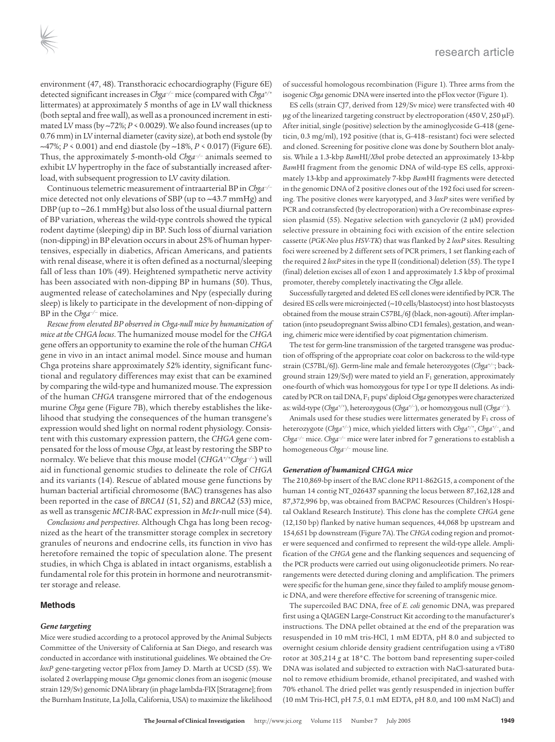environment (47, 48). Transthoracic echocardiography (Figure 6E) detected significant increases in *Chga–/–* mice (compared with *Chga+/+* littermates) at approximately 5 months of age in LV wall thickness (both septal and free wall), as well as a pronounced increment in estimated LV mass (by ∼72%; *P* < 0.0029). We also found increases (up to 0.76 mm) in LV internal diameter (cavity size), at both end systole (by ∼47%; *P* < 0.001) and end diastole (by ∼18%, *P* < 0.017) (Figure 6E). Thus, the approximately 5-month-old *Chga–/–* animals seemed to exhibit LV hypertrophy in the face of substantially increased afterload, with subsequent progression to LV cavity dilation.

Continuous telemetric measurement of intraarterial BP in *Chga–/–* mice detected not only elevations of SBP (up to ∼43.7 mmHg) and DBP (up to ∼26.1 mmHg) but also loss of the usual diurnal pattern of BP variation, whereas the wild-type controls showed the typical rodent daytime (sleeping) dip in BP. Such loss of diurnal variation (non-dipping) in BP elevation occurs in about 25% of human hypertensives, especially in diabetics, African Americans, and patients with renal disease, where it is often defined as a nocturnal/sleeping fall of less than 10% (49). Heightened sympathetic nerve activity has been associated with non-dipping BP in humans (50). Thus, augmented release of catecholamines and Npy (especially during sleep) is likely to participate in the development of non-dipping of BP in the *Chga–/–* mice.

*Rescue from elevated BP observed in Chga-null mice by humanization of mice at the CHGA locus*. The humanized mouse model for the *CHGA* gene offers an opportunity to examine the role of the human *CHGA* gene in vivo in an intact animal model. Since mouse and human Chga proteins share approximately 52% identity, significant functional and regulatory differences may exist that can be examined by comparing the wild-type and humanized mouse. The expression of the human *CHGA* transgene mirrored that of the endogenous murine *Chga* gene (Figure 7B), which thereby establishes the likelihood that studying the consequences of the human transgene's expression would shed light on normal rodent physiology. Consistent with this customary expression pattern, the *CHGA* gene compensated for the loss of mouse *Chga*, at least by restoring the SBP to normalcy. We believe that this mouse model (*CHGA+/+Chga–/–*) will aid in functional genomic studies to delineate the role of *CHGA* and its variants (14). Rescue of ablated mouse gene functions by human bacterial artificial chromosome (BAC) transgenes has also been reported in the case of *BRCA1* (51, 52) and *BRCA2* (53) mice, as well as transgenic *MC1R*-BAC expression in *Mc1r*-null mice (54).

*Conclusions and perspectives*. Although Chga has long been recognized as the heart of the transmitter storage complex in secretory granules of neurons and endocrine cells, its function in vivo has heretofore remained the topic of speculation alone. The present studies, in which Chga is ablated in intact organisms, establish a fundamental role for this protein in hormone and neurotransmitter storage and release.

## **Methods**

# *Gene targeting*

Mice were studied according to a protocol approved by the Animal Subjects Committee of the University of California at San Diego, and research was conducted in accordance with institutional guidelines. We obtained the *CreloxP* gene-targeting vector pFlox from Jamey D. Marth at UCSD (55). We isolated 2 overlapping mouse *Chga* genomic clones from an isogenic (mouse strain 129/Sv) genomic DNA library (in phage lambda-FIX [Stratagene]; from the Burnham Institute, La Jolla, California, USA) to maximize the likelihood of successful homologous recombination (Figure 1). Three arms from the isogenic *Chga* genomic DNA were inserted into the pFlox vector (Figure 1).

ES cells (strain CJ7, derived from 129/Sv mice) were transfected with 40  $\mu$ g of the linearized targeting construct by electroporation (450 V, 250  $\mu$ F). After initial, single (positive) selection by the aminoglycoside G-418 (geneticin, 0.3 mg/ml), 192 positive (that is, G-418–resistant) foci were selected and cloned. Screening for positive clone was done by Southern blot analysis. While a 1.3-kbp *Bam*HI/*Xho*I probe detected an approximately 13-kbp *Bam*HI fragment from the genomic DNA of wild-type ES cells, approximately 13-kbp and approximately 7-kbp *Bam*HI fragments were detected in the genomic DNA of 2 positive clones out of the 192 foci used for screening. The positive clones were karyotyped, and 3 *loxP* sites were verified by PCR and cotransfected (by electroporation) with a *Cre* recombinase expression plasmid (55). Negative selection with gancyclovir (2 µM) provided selective pressure in obtaining foci with excision of the entire selection cassette (*PGK-Neo* plus *HSV-TK*) that was flanked by 2 *loxP* sites. Resulting foci were screened by 2 different sets of PCR primers, 1 set flanking each of the required 2 *loxP* sites in the type II (conditional) deletion (55). The type I (final) deletion excises all of exon 1 and approximately 1.5 kbp of proximal promoter, thereby completely inactivating the *Chga* allele.

Successfully targeted and deleted ES cell clones were identified by PCR. The desired ES cells were microinjected (∼10 cells/blastocyst) into host blastocysts obtained from the mouse strain C57BL/6J (black, non-agouti). After implantation (into pseudopregnant Swiss albino CD1 females), gestation, and weaning, chimeric mice were identified by coat pigmentation chimerism.

The test for germ-line transmission of the targeted transgene was production of offspring of the appropriate coat color on backcross to the wild-type strain (C57BL/6J). Germ-line male and female heterozygotes (*Chga+/–*; background strain  $129/SvJ$ ) were mated to yield an  $F<sub>1</sub>$  generation, approximately one-fourth of which was homozygous for type I or type II deletions. As indicated by PCR on tail DNA, F1 pups' diploid *Chga* genotypes were characterized as: wild-type (*Chga+/+*), heterozygous (*Chga+/–*), or homozygous null (*Chga–/–*).

Animals used for these studies were littermates generated by  $F_1$  cross of heterozygote (*Chga+/–*) mice, which yielded litters with *Chga+/+* , *Chga+/–*, and *Chga–/–* mice. *Chga–/–* mice were later inbred for 7 generations to establish a homogeneous *Chga–/–* mouse line.

# *Generation of humanized CHGA mice*

The 210,869-bp insert of the BAC clone RP11-862G15, a component of the human 14 contig NT\_026437 spanning the locus between 87,162,128 and 87,372,996 bp, was obtained from BACPAC Resources (Children's Hospital Oakland Research Institute). This clone has the complete *CHGA* gene (12,150 bp) flanked by native human sequences, 44,068 bp upstream and 154,651 bp downstream (Figure 7A). The *CHGA* coding region and promoter were sequenced and confirmed to represent the wild-type allele. Amplification of the *CHGA* gene and the flanking sequences and sequencing of the PCR products were carried out using oligonucleotide primers. No rearrangements were detected during cloning and amplification. The primers were specific for the human gene, since they failed to amplify mouse genomic DNA, and were therefore effective for screening of transgenic mice.

The supercoiled BAC DNA, free of *E. coli* genomic DNA, was prepared first using a QIAGEN Large-Construct Kit according to the manufacturer's instructions. The DNA pellet obtained at the end of the preparation was resuspended in 10 mM tris-HCl, 1 mM EDTA, pH 8.0 and subjected to overnight cesium chloride density gradient centrifugation using a vTi80 rotor at 305,214 *g* at 18°C. The bottom band representing super-coiled DNA was isolated and subjected to extraction with NaCl-saturated butanol to remove ethidium bromide, ethanol precipitated, and washed with 70% ethanol. The dried pellet was gently resuspended in injection buffer (10 mM Tris-HCl, pH 7.5, 0.1 mM EDTA, pH 8.0, and 100 mM NaCl) and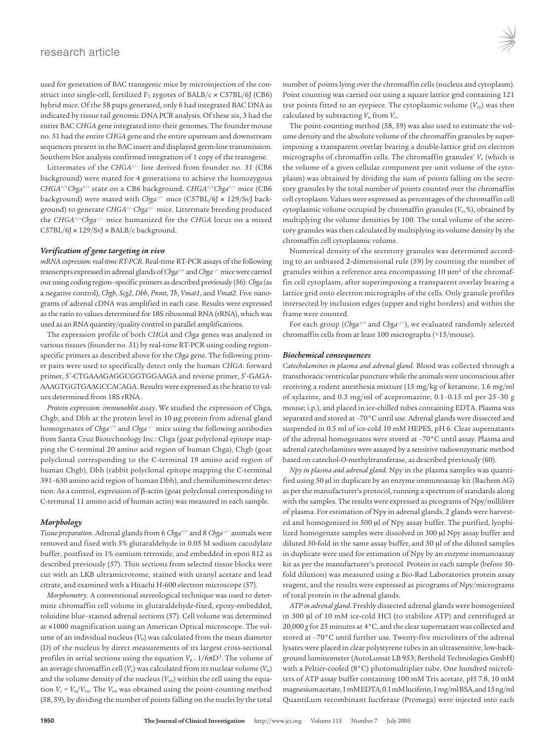used for generation of BAC transgenic mice by microinjection of the construct into single-cell, fertilized  $F_1$  zygotes of BALB/c  $\times$  C57BL/6J (CB6) hybrid mice. Of the 58 pups generated, only 6 had integrated BAC DNA as indicated by tissue tail genomic DNA PCR analysis. Of these six, 3 had the entire BAC *CHGA* gene integrated into their genomes. The founder mouse no. 31 had the entire *CHGA* gene and the entire upstream and downstream sequences present in the BAC insert and displayed germ-line transmission. Southern blot analysis confirmed integration of 1 copy of the transgene.

Littermates of the *CHGA+/–* line derived from founder no. 31 (CB6 background) were mated for 4 generations to achieve the homozygous *CHGA+/+Chga+/+* state on a CB6 background. *CHGA+/+Chga+/+* mice (CB6 background) were mated with *Chga–/–* mice (C57BL/6J × 129/SvJ background) to generate *CHGA+/–Chga+/–* mice. Littermate breeding produced the *CHGA+/+Chga–/–* mice humanized for the *CHGA* locus on a mixed C57BL/6J × 129/SvJ × BALB/c background.

# *Verification of gene targeting in vivo*

*mRNA expression: real-time RT-PCR*. Real-time RT-PCR assays of the following transcripts expressed in adrenal glands of *Chga+/+* and *Chga–/–* mice were carried out using coding region–specific primers as described previously (56): *Chga* (as a negative control), *Chgb*, *Scg2*, *Dbh*, *Pnmt*, *Th*, *Vmat1*, and *Vmat2*. Five nanograms of adrenal cDNA was amplified in each case. Results were expressed as the ratio to values determined for 18S ribosomal RNA (rRNA), which was used as an RNA quantity/quality control in parallel amplifications.

The expression profile of both *CHGA* and *Chga* genes was analyzed in various tissues (founder no. 31) by real-time RT-PCR using coding region– specific primers as described above for the *Chga* gene. The following primer pairs were used to specifically detect only the human *CHGA*: forward primer, 5′-CTGAAAGAGGCGGTGGAAGA and reverse primer, 5′-GAGA-AAAGTGGTGAAGCCACAGA. Results were expressed as the hratio to values determined from 18S rRNA.

*Protein expression: immunoblot assay*. We studied the expression of Chga, Chgb, and Dbh at the protein level in 10 µg protein from adrenal gland homogenates of *Chga+/+* and *Chga–/–* mice using the following antibodies from Santa Cruz Biotechnology Inc.: Chga (goat polyclonal epitope mapping the C-terminal 20 amino acid region of human Chga), Chgb (goat polyclonal corresponding to the C-terminal 19 amino acid region of human Chgb), Dbh (rabbit polyclonal epitope mapping the C-terminal 391–630 amino acid region of human Dbh), and chemiluminescent detection. As a control, expression of β-actin (goat polyclonal corresponding to C-terminal 11 amino acid of human actin) was measured in each sample.

## *Morphology*

*Tissue preparation*. Adrenal glands from 6 *Chga+/+* and 8 *Chga–/–* animals were removed and fixed with 5% glutaraldehyde in 0.05 M sodium cacodylate buffer, postfixed in 1% osmium tetroxide, and embedded in epon 812 as described previously (57). Thin sections from selected tissue blocks were cut with an LKB ultramicrotome, stained with uranyl acetate and lead citrate, and examined with a Hitachi H-600 electron microscope (57).

*Morphometry*. A conventional stereological technique was used to determine chromaffin cell volume in glutaraldehyde-fixed, epoxy-embedded, toluidine blue–stained adrenal sections (57). Cell volume was determined at ×1000 magnification using an American Optical microscope. The volume of an individual nucleus (*V*n) was calculated from the mean diameter (D) of the nucleus by direct measurements of its largest cross-sectional profiles in serial sections using the equation *Vn*<sup>=</sup>1/6πD<sup>3</sup> . The volume of an average chromaffin cell  $(V_c)$  was calculated from its nuclear volume  $(V_n)$ and the volume density of the nucleus (V<sub>vn</sub>) within the cell using the equation  $V_c = V_n / V_{vn}$ . The  $V_{vn}$  was obtained using the point-counting method (58, 59), by dividing the number of points falling on the nuclei by the total number of points lying over the chromaffin cells (nucleus and cytoplasm). Point counting was carried out using a square lattice grid containing 121 test points fitted to an eyepiece. The cytoplasmic volume  $(V_{cv})$  was then calculated by subtracting  $V_n$  from  $V_c$ .

The point-counting method (58, 59) was also used to estimate the volume density and the absolute volume of the chromaffin granules by superimposing a transparent overlay bearing a double-lattice grid on electron micrographs of chromaffin cells. The chromaffin granules'  $V_{\rm v}$  (which is the volume of a given cellular component per unit volume of the cytoplasm) was obtained by dividing the sum of points falling on the secretory granules by the total number of points counted over the chromaffin cell cytoplasm. Values were expressed as percentages of the chromaffin cell cytoplasmic volume occupied by chromaffin granules ( $V<sub>v</sub>$ %), obtained by multiplying the volume densities by 100. The total volume of the secretory granules was then calculated by multiplying its volume density by the chromaffin cell cytoplasmic volume.

Numerical density of the secretory granules was determined according to an unbiased 2-dimensional rule (59) by counting the number of granules within a reference area encompassing 10 µm<sup>2</sup> of the chromaffin cell cytoplasm, after superimposing a transparent overlay bearing a lattice grid onto electron micrographs of the cells. Only granule profiles intersected by inclusion edges (upper and right borders) and within the frame were counted.

For each group (*Chga+/+* and *Chga–/–*), we evaluated randomly selected chromaffin cells from at least 100 micrographs (>15/mouse).

## *Biochemical consequences*

*Catecholamines in plasma and adrenal gland*. Blood was collected through a transthoracic ventricular puncture while the animals were unconscious after receiving a rodent anesthesia mixture (15 mg/kg of ketamine, 1.6 mg/ml of xylazine, and 0.3 mg/ml of acepromazine; 0.1–0.15 ml per 25–30 g mouse; i.p.), and placed in ice-chilled tubes containing EDTA. Plasma was separated and stored at –70°C until use. Adrenal glands were dissected and suspended in 0.5 ml of ice-cold 10 mM HEPES, pH 6. Clear supernatants of the adrenal homogenates were stored at –70°C until assay. Plasma and adrenal catecholamines were assayed by a sensitive radioenzymatic method based on catechol-*O*-methyltransferase, as described previously (60).

*Npy in plasma and adrenal gland*. Npy in the plasma samples was quantified using 50 µl in duplicate by an enzyme immunoassay kit (Bachem AG) as per the manufacturer's protocol, running a spectrum of standards along with the samples. The results were expressed as picograms of Npy/milliliter of plasma. For estimation of Npy in adrenal glands, 2 glands were harvested and homogenized in 500 µl of Npy assay buffer. The purified, lyophilized homogenate samples were dissolved in 300 µl Npy assay buffer and diluted 50-fold in the same assay buffer, and 50 µl of the diluted samples in duplicate were used for estimation of Npy by an enzyme immunoassay kit as per the manufacturer's protocol. Protein in each sample (before 50 fold dilution) was measured using a Bio-Rad Laboratories protein assay reagent, and the results were expressed as picograms of Npy/micrograms of total protein in the adrenal glands.

*ATP in adrenal gland*. Freshly dissected adrenal glands were homogenized in 300 µl of 10 mM ice-cold HCl (to stabilize ATP) and centrifuged at 20,000 *g* for 25 minutes at 4°C, and the clear supernatant was collected and stored at –70°C until further use. Twenty-five microliters of the adrenal lysates were placed in clear polystyrene tubes in an ultrasensitive, low-background luminometer (AutoLumat LB 953; Berthold Technologies GmbH) with a Peltier-cooled (8°C) photomultiplier tube. One hundred microliters of ATP assay buffer containing 100 mM Tris acetate, pH 7.8, 10 mM magnesium acetate, 1 mM EDTA, 0.1 mM luciferin, 1 mg/ml BSA, and 15 ng/ml QuantiLum recombinant luciferase (Promega) were injected into each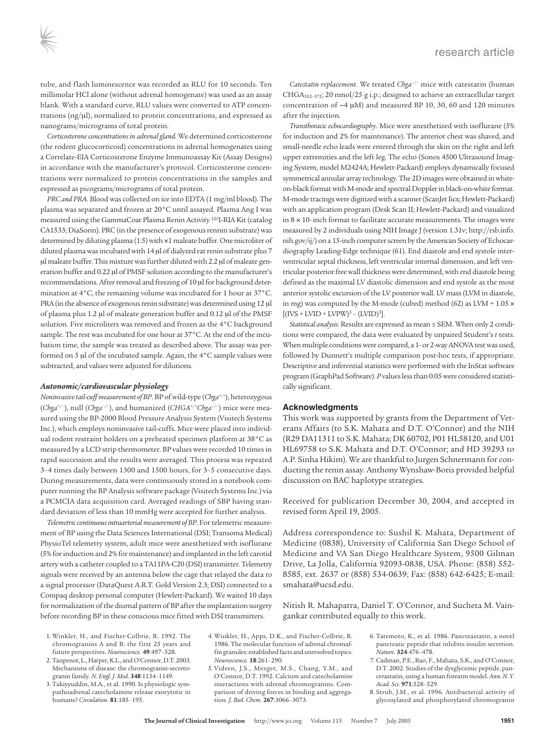tube, and flash luminescence was recorded as RLU for 10 seconds. Ten millimolar HCl alone (without adrenal homogenate) was used as an assay blank. With a standard curve, RLU values were converted to ATP concentrations (ng/µl), normalized to protein concentrations, and expressed as nanograms/micrograms of total protein.

*Corticosterone concentrations in adrenal gland*. We determined corticosterone (the rodent glucocorticoid) concentrations in adrenal homogenates using a Correlate-EIA Corticosterone Enzyme Immunoassay Kit (Assay Designs) in accordance with the manufacturer's protocol. Corticosterone concentrations were normalized to protein concentrations in the samples and expressed as picograms/micrograms of total protein.

*PRC and PRA*. Blood was collected on ice into EDTA (1 mg/ml blood). The plasma was separated and frozen at 20°C until assayed. Plasma Ang I was measured using the GammaCoat Plasma Renin Activity <sup>125</sup>I-RIA Kit (catalog CA1533; DiaSorin). PRC (in the presence of exogenous rennin substrate) was determined by diluting plasma (1:5) with ×1 maleate buffer. One microliter of diluted plasma was incubated with 14 µl of dialyzed rat renin substrate plus 7 µl maleate buffer. This mixture was further diluted with 2.2 µl of maleate generation buffer and 0.22 µl of PMSF solution according to the manufacturer's recommendations. After removal and freezing of 10 µl for background determination at 4°C, the remaining volume was incubated for 1 hour at 37°C. PRA (in the absence of exogenous renin substrate) was determined using 12 µl of plasma plus 1.2 µl of maleate generation buffer and 0.12 µl of the PMSF solution. Five microliters was removed and frozen as the 4°C background sample. The rest was incubated for one hour at 37°C. At the end of the incubation time, the sample was treated as described above. The assay was performed on 5 µl of the incubated sample. Again, the 4°C sample values were subtracted, and values were adjusted for dilutions.

## *Autonomic/cardiovascular physiology*

*Noninvasive tail-cuff measurement of BP*. BP of wild-type (*Chga+/+*), heterozygous (*Chga+/–*), null (*Chga–/–*), and humanized (*CHGA+/+Chga–/–*) mice were measured using the BP-2000 Blood Pressure Analysis System (Visitech Systems Inc.), which employs noninvasive tail-cuffs. Mice were placed into individual rodent restraint holders on a preheated specimen platform at 38°C as measured by a LCD strip thermometer. BP values were recorded 10 times in rapid succession and the results were averaged. This process was repeated 3–4 times daily between 1300 and 1500 hours, for 3–5 consecutive days. During measurements, data were continuously stored in a notebook computer running the BP Analysis software package (Visitech Systems Inc.) via a PCMCIA data acquisition card. Averaged readings of SBP having standard deviation of less than 10 mmHg were accepted for further analysis.

*Telemetric continuous intraarterial measurement of BP*. For telemetric measurement of BP using the Data Sciences International (DSI; Transoma Medical) PhysioTel telemetry system, adult mice were anesthetized with isoflurane (5% for induction and 2% for maintenance) and implanted in the left carotid artery with a catheter coupled to a TA11PA-C20 (DSI) transmitter. Telemetry signals were received by an antenna below the cage that relayed the data to a signal processor (DataQuest A.R.T. Gold Version 2.3; DSI) connected to a Compaq desktop personal computer (Hewlett-Packard). We waited 10 days for normalization of the diurnal pattern of BP after the implantation surgery before recording BP in these conscious mice fitted with DSI transmitters.

- 1. Winkler, H., and Fischer-Colbrie, R. 1992. The chromogranins A and B: the first 25 years and future perspectives. *Neuroscience.* **49**:497–528.
- 2. Taupenot, L., Harper, K.L., and O'Connor, D.T. 2003. Mechanisms of disease: the chromogranin-secretogranin family. *N. Engl. J. Med.* **348**:1134–1149.
- 3. Takiyyuddin, M.A., et al. 1990. Is physiologic sympathoadrenal catecholamine release exocytotic in humans? *Circulation.* **81**:185–195.

*Catestatin replacement*. We treated *Chga–/–* mice with catestatin (human CHGA352–372; 20 nmol/25 g i.p.; designed to achieve an extracellular target concentration of ∼4 µM) and measured BP 10, 30, 60 and 120 minutes after the injection.

*Transthoracic echocardiography*. Mice were anesthetized with isoflurane (5% for induction and 2% for maintenance). The anterior chest was shaved, and small-needle echo leads were entered through the skin on the right and left upper extremities and the left leg. The echo (Sonos 4500 Ultrasound Imaging System, model M2424A; Hewlett-Packard) employs dynamically focused symmetrical annular array technology. The 2D images were obtained in whiteon-black format with M-mode and spectral Doppler in black-on-white format. M-mode tracings were digitized with a scanner (ScanJet Iicx; Hewlett-Packard) with an application program (Desk Scan II; Hewlett-Packard) and visualized in 8 × 10–inch format to facilitate accurate measurements. The images were measured by 2 individuals using NIH Image J (version 1.31v; http://rsb.info. nih.gov/ij/) on a 15-inch computer screen by the American Society of Echocardiography Leading-Edge technique (61). End diastole and end systole interventricular septal thickness, left ventricular internal dimension, and left ventricular posterior free wall thickness were determined, with end diastole being defined as the maximal LV diastolic dimension and end systole as the most anterior systolic excursion of the LV posterior wall. LV mass (LVM in diastole, in mg) was computed by the M-mode (cubed) method (62) as LVM =  $1.05 \times$ [(IVS + LVID + LVPW)<sup>3</sup> – (LVID)<sup>3</sup> ].

*Statistical analysis*. Results are expressed as mean ± SEM. When only 2 conditions were compared, the data were evaluated by unpaired Student's *t* tests. When multiple conditions were compared, a 1- or 2-way ANOVA test was used, followed by Dunnett's multiple comparison post-hoc tests, if appropriate. Descriptive and inferential statistics were performed with the InStat software program (GraphPad Software). *P* values less than 0.05 were considered statistically significant.

# **Acknowledgments**

This work was supported by grants from the Department of Veterans Affairs (to S.K. Mahata and D.T. O'Connor) and the NIH (R29 DA11311 to S.K. Mahata; DK 60702, P01 HL58120, and U01 HL69758 to S.K. Mahata and D.T. O'Connor; and HD 39293 to A.P. Sinha Hikim). We are thankful to Jurgen Schnermann for conducting the renin assay. Anthony Wynshaw-Boris provided helpful discussion on BAC haplotype strategies.

Received for publication December 30, 2004, and accepted in revised form April 19, 2005.

Address correspondence to: Sushil K. Mahata, Department of Medicine (0838), University of California San Diego School of Medicine and VA San Diego Healthcare System, 9500 Gilman Drive, La Jolla, California 92093-0838, USA. Phone: (858) 552- 8585, ext. 2637 or (858) 534-0639; Fax: (858) 642-6425; E-mail: smahata@ucsd.edu.

Nitish R. Mahapatra, Daniel T. O'Connor, and Sucheta M. Vaingankar contributed equally to this work.

- 4. Winkler, H., Apps, D.K., and Fischer-Colbrie, R. 1986. The molecular function of adrenal chromaffin granules: established facts and unresolved topics. *Neuroscience.* **18**:261–290.
- 5. Videen, J.S., Mezger, M.S., Chang, Y.M., and O'Connor, D.T. 1992. Calcium and catecholamine interactions with adrenal chromogranins. Comparison of driving forces in binding and aggregation. *J. Biol. Chem.* **267**:3066–3073.
- 6. Tatemoto, K., et al. 1986. Pancreastatin, a novel pancreatic peptide that inhibits insulin secretion. *Nature.* **324**:476–478.
- 7. Cadman, P.E., Rao, F., Mahata, S.K., and O'Connor, D.T. 2002. Studies of the dysglycemic peptide, pancreastatin, using a human forearm model. *Ann. N. Y. Acad. Sci.* **971**:528–529.
- 8. Strub, J.M., et al. 1996. Antibacterial activity of glycosylated and phosphorylated chromogranin